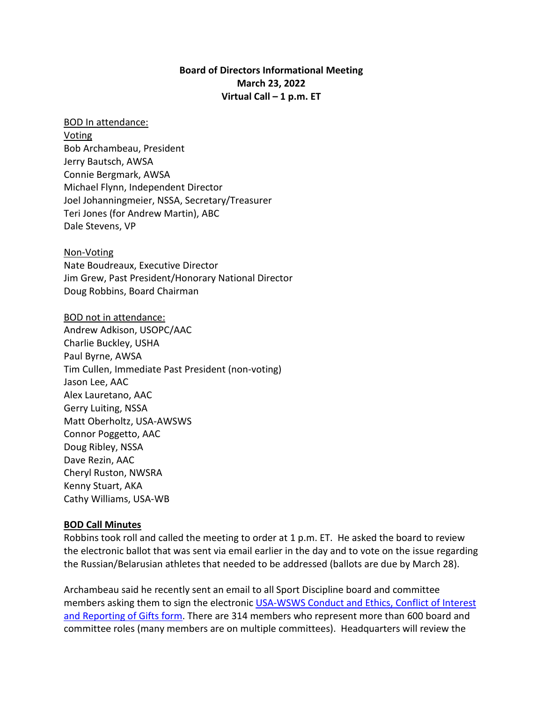# **Board of Directors Informational Meeting March 23, 2022 Virtual Call – 1 p.m. ET**

#### BOD In attendance:

**Voting** Bob Archambeau, President Jerry Bautsch, AWSA Connie Bergmark, AWSA Michael Flynn, Independent Director Joel Johanningmeier, NSSA, Secretary/Treasurer Teri Jones (for Andrew Martin), ABC Dale Stevens, VP

Non-Voting Nate Boudreaux, Executive Director Jim Grew, Past President/Honorary National Director Doug Robbins, Board Chairman

BOD not in attendance: Andrew Adkison, USOPC/AAC Charlie Buckley, USHA Paul Byrne, AWSA Tim Cullen, Immediate Past President (non-voting) Jason Lee, AAC Alex Lauretano, AAC Gerry Luiting, NSSA Matt Oberholtz, USA-AWSWS Connor Poggetto, AAC Doug Ribley, NSSA Dave Rezin, AAC Cheryl Ruston, NWSRA Kenny Stuart, AKA Cathy Williams, USA-WB

#### **BOD Call Minutes**

Robbins took roll and called the meeting to order at 1 p.m. ET. He asked the board to review the electronic ballot that was sent via email earlier in the day and to vote on the issue regarding the Russian/Belarusian athletes that needed to be addressed (ballots are due by March 28).

Archambeau said he recently sent an email to all Sport Discipline board and committee members asking them to sign the electronic USA-WSWS Conduct and Ethics, Conflict of Interest [and Reporting of Gifts](https://forms.gle/FzLm7s8tdA1G7Wnm8) form. There are 314 members who represent more than 600 board and committee roles (many members are on multiple committees). Headquarters will review the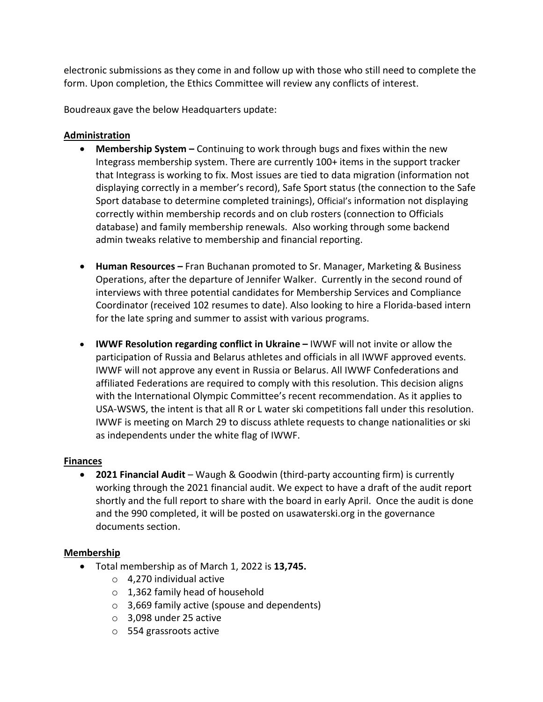electronic submissions as they come in and follow up with those who still need to complete the form. Upon completion, the Ethics Committee will review any conflicts of interest.

Boudreaux gave the below Headquarters update:

### **Administration**

- **Membership System –** Continuing to work through bugs and fixes within the new Integrass membership system. There are currently 100+ items in the support tracker that Integrass is working to fix. Most issues are tied to data migration (information not displaying correctly in a member's record), Safe Sport status (the connection to the Safe Sport database to determine completed trainings), Official's information not displaying correctly within membership records and on club rosters (connection to Officials database) and family membership renewals. Also working through some backend admin tweaks relative to membership and financial reporting.
- **Human Resources –** Fran Buchanan promoted to Sr. Manager, Marketing & Business Operations, after the departure of Jennifer Walker. Currently in the second round of interviews with three potential candidates for Membership Services and Compliance Coordinator (received 102 resumes to date). Also looking to hire a Florida-based intern for the late spring and summer to assist with various programs.
- **IWWF Resolution regarding conflict in Ukraine** IWWF will not invite or allow the participation of Russia and Belarus athletes and officials in all IWWF approved events. IWWF will not approve any event in Russia or Belarus. All IWWF Confederations and affiliated Federations are required to comply with this resolution. This decision aligns with the International Olympic Committee's recent recommendation. As it applies to USA-WSWS, the intent is that all R or L water ski competitions fall under this resolution. IWWF is meeting on March 29 to discuss athlete requests to change nationalities or ski as independents under the white flag of IWWF.

#### **Finances**

• **2021 Financial Audit** – Waugh & Goodwin (third-party accounting firm) is currently working through the 2021 financial audit. We expect to have a draft of the audit report shortly and the full report to share with the board in early April. Once the audit is done and the 990 completed, it will be posted on usawaterski.org in the governance documents section.

#### **Membership**

- Total membership as of March 1, 2022 is **13,745.**
	- o 4,270 individual active
	- $\circ$  1,362 family head of household
	- o 3,669 family active (spouse and dependents)
	- o 3,098 under 25 active
	- o 554 grassroots active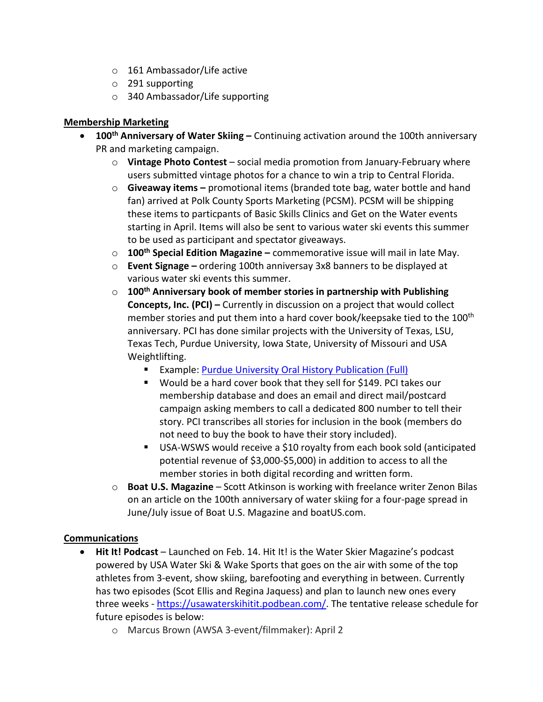- o 161 Ambassador/Life active
- o 291 supporting
- o 340 Ambassador/Life supporting

### **Membership Marketing**

- **100th Anniversary of Water Skiing** Continuing activation around the 100th anniversary PR and marketing campaign.
	- o **Vintage Photo Contest** social media promotion from January-February where users submitted vintage photos for a chance to win a trip to Central Florida.
	- o **Giveaway items –** promotional items (branded tote bag, water bottle and hand fan) arrived at Polk County Sports Marketing (PCSM). PCSM will be shipping these items to particpants of Basic Skills Clinics and Get on the Water events starting in April. Items will also be sent to various water ski events this summer to be used as participant and spectator giveaways.
	- o **100th Special Edition Magazine –** commemorative issue will mail in late May.
	- o **Event Signage –** ordering 100th anniversay 3x8 banners to be displayed at various water ski events this summer.
	- o **100th Anniversary book of member stories in partnership with Publishing Concepts, Inc. (PCI) –** Currently in discussion on a project that would collect member stories and put them into a hard cover book/keepsake tied to the 100<sup>th</sup> anniversary. PCI has done similar projects with the University of Texas, LSU, Texas Tech, Purdue University, Iowa State, University of Missouri and USA Weightlifting.
		- **Example: [Purdue University Oral History Publication \(Full\)](https://t.sidekickopen90.com/s3t/c/5/f18dQhb0S7kF8cVWDmW1_QGsy59hl3kW7_k2841CX6NGW35QNyY2PyvfVVv666_2qKYLNf197v5Y04?te=W3R5hFj4cm2zwW3FbtcT3K78fMW45W2z03T3pCSW41S6_D41QtgCW4fNk2Q43T4P4W4hCVBB3BLdK9W49K58D2p4GhLW41SVnf41QVMnn1JzCLZ203&si=8000000016644790&pi=8b87fb58-b71b-416b-9409-83a5d09f23c5)**
		- Would be a hard cover book that they sell for \$149. PCI takes our membership database and does an email and direct mail/postcard campaign asking members to call a dedicated 800 number to tell their story. PCI transcribes all stories for inclusion in the book (members do not need to buy the book to have their story included).
		- USA-WSWS would receive a \$10 royalty from each book sold (anticipated potential revenue of \$3,000-\$5,000) in addition to access to all the member stories in both digital recording and written form.
	- o **Boat U.S. Magazine** Scott Atkinson is working with freelance writer Zenon Bilas on an article on the 100th anniversary of water skiing for a four-page spread in June/July issue of Boat U.S. Magazine and boatUS.com.

# **Communications**

- **Hit It! Podcast** Launched on Feb. 14. Hit It! is the Water Skier Magazine's podcast powered by USA Water Ski & Wake Sports that goes on the air with some of the top athletes from 3-event, show skiing, barefooting and everything in between. Currently has two episodes (Scot Ellis and Regina Jaquess) and plan to launch new ones every three weeks - [https://usawaterskihitit.podbean.com/.](https://usawaterskihitit.podbean.com/) The tentative release schedule for future episodes is below:
	- o Marcus Brown (AWSA 3-event/filmmaker): April 2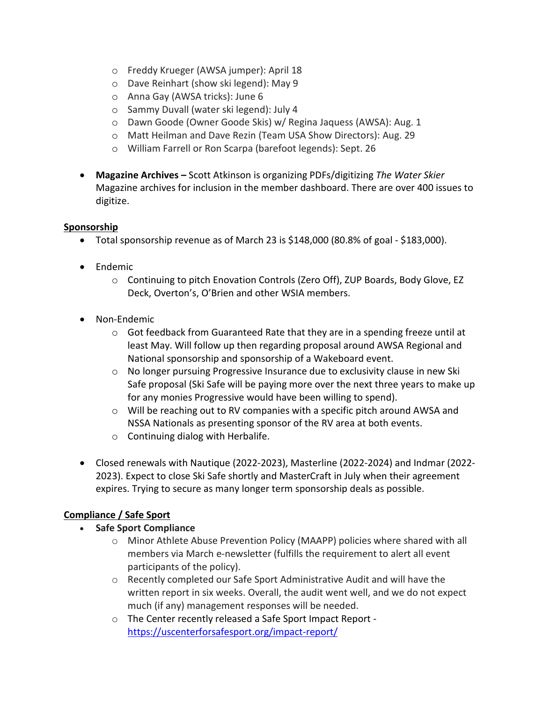- o Freddy Krueger (AWSA jumper): April 18
- o Dave Reinhart (show ski legend): May 9
- o Anna Gay (AWSA tricks): June 6
- o Sammy Duvall (water ski legend): July 4
- o Dawn Goode (Owner Goode Skis) w/ Regina Jaquess (AWSA): Aug. 1
- o Matt Heilman and Dave Rezin (Team USA Show Directors): Aug. 29
- o William Farrell or Ron Scarpa (barefoot legends): Sept. 26
- **Magazine Archives –** Scott Atkinson is organizing PDFs/digitizing *The Water Skier* Magazine archives for inclusion in the member dashboard. There are over 400 issues to digitize.

# **Sponsorship**

- Total sponsorship revenue as of March 23 is  $$148,000$  (80.8% of goal  $$183,000$ ).
- Endemic
	- o Continuing to pitch Enovation Controls (Zero Off), ZUP Boards, Body Glove, EZ Deck, Overton's, O'Brien and other WSIA members.
- Non-Endemic
	- $\circ$  Got feedback from Guaranteed Rate that they are in a spending freeze until at least May. Will follow up then regarding proposal around AWSA Regional and National sponsorship and sponsorship of a Wakeboard event.
	- $\circ$  No longer pursuing Progressive Insurance due to exclusivity clause in new Ski Safe proposal (Ski Safe will be paying more over the next three years to make up for any monies Progressive would have been willing to spend).
	- $\circ$  Will be reaching out to RV companies with a specific pitch around AWSA and NSSA Nationals as presenting sponsor of the RV area at both events.
	- o Continuing dialog with Herbalife.
- Closed renewals with Nautique (2022-2023), Masterline (2022-2024) and Indmar (2022- 2023). Expect to close Ski Safe shortly and MasterCraft in July when their agreement expires. Trying to secure as many longer term sponsorship deals as possible.

# **Compliance / Safe Sport**

- **Safe Sport Compliance** 
	- o Minor Athlete Abuse Prevention Policy (MAAPP) policies where shared with all members via March e-newsletter (fulfills the requirement to alert all event participants of the policy).
	- o Recently completed our Safe Sport Administrative Audit and will have the written report in six weeks. Overall, the audit went well, and we do not expect much (if any) management responses will be needed.
	- o The Center recently released a Safe Sport Impact Report <https://uscenterforsafesport.org/impact-report/>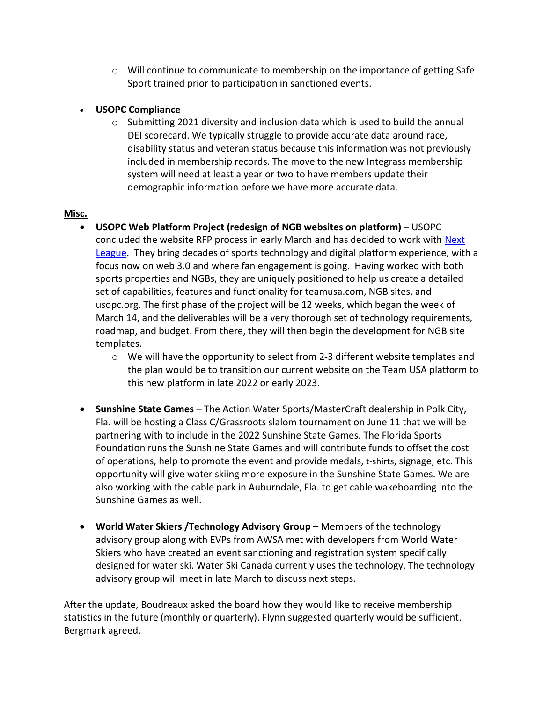$\circ$  Will continue to communicate to membership on the importance of getting Safe Sport trained prior to participation in sanctioned events.

# • **USOPC Compliance**

 $\circ$  Submitting 2021 diversity and inclusion data which is used to build the annual DEI scorecard. We typically struggle to provide accurate data around race, disability status and veteran status because this information was not previously included in membership records. The move to the new Integrass membership system will need at least a year or two to have members update their demographic information before we have more accurate data.

# **Misc.**

- **USOPC Web Platform Project (redesign of NGB websites on platform)** USOPC concluded the website RFP process in early March and has decided to work with [Next](https://nextleague.com/)  [League.](https://nextleague.com/) They bring decades of sports technology and digital platform experience, with a focus now on web 3.0 and where fan engagement is going. Having worked with both sports properties and NGBs, they are uniquely positioned to help us create a detailed set of capabilities, features and functionality for teamusa.com, NGB sites, and usopc.org. The first phase of the project will be 12 weeks, which began the week of March 14, and the deliverables will be a very thorough set of technology requirements, roadmap, and budget. From there, they will then begin the development for NGB site templates.
	- $\circ$  We will have the opportunity to select from 2-3 different website templates and the plan would be to transition our current website on the Team USA platform to this new platform in late 2022 or early 2023.
- **Sunshine State Games** The Action Water Sports/MasterCraft dealership in Polk City, Fla. will be hosting a Class C/Grassroots slalom tournament on June 11 that we will be partnering with to include in the 2022 Sunshine State Games. The Florida Sports Foundation runs the Sunshine State Games and will contribute funds to offset the cost of operations, help to promote the event and provide medals, t-shirts, signage, etc. This opportunity will give water skiing more exposure in the Sunshine State Games. We are also working with the cable park in Auburndale, Fla. to get cable wakeboarding into the Sunshine Games as well.
- **World Water Skiers /Technology Advisory Group** Members of the technology advisory group along with EVPs from AWSA met with developers from World Water Skiers who have created an event sanctioning and registration system specifically designed for water ski. Water Ski Canada currently uses the technology. The technology advisory group will meet in late March to discuss next steps.

After the update, Boudreaux asked the board how they would like to receive membership statistics in the future (monthly or quarterly). Flynn suggested quarterly would be sufficient. Bergmark agreed.